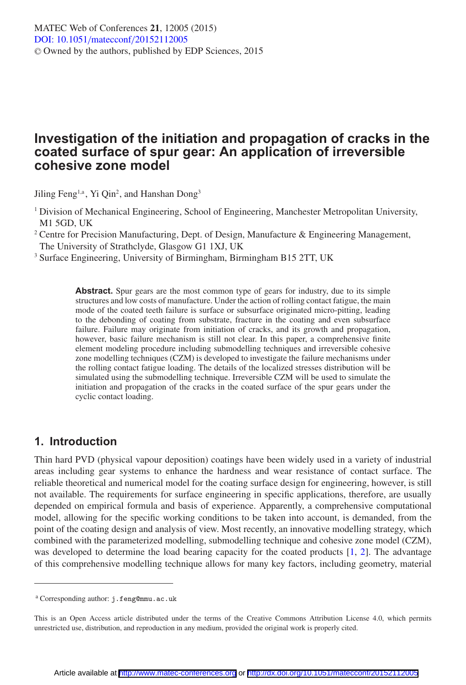# **Investigation of the initiation and propagation of cracks in the coated surface of spur gear: An application of irreversible cohesive zone model**

Jiling Feng<sup>1,a</sup>, Yi Qin<sup>2</sup>, and Hanshan Dong<sup>3</sup>

- <sup>1</sup> Division of Mechanical Engineering, School of Engineering, Manchester Metropolitan University, M1 5GD, UK
- <sup>2</sup> Centre for Precision Manufacturing, Dept. of Design, Manufacture & Engineering Management, The University of Strathclyde, Glasgow G1 1XJ, UK
- <sup>3</sup> Surface Engineering, University of Birmingham, Birmingham B15 2TT, UK

Abstract. Spur gears are the most common type of gears for industry, due to its simple structures and low costs of manufacture. Under the action of rolling contact fatigue, the main mode of the coated teeth failure is surface or subsurface originated micro-pitting, leading to the debonding of coating from substrate, fracture in the coating and even subsurface failure. Failure may originate from initiation of cracks, and its growth and propagation, however, basic failure mechanism is still not clear. In this paper, a comprehensive finite element modeling procedure including submodelling techniques and irreversible cohesive zone modelling techniques (CZM) is developed to investigate the failure mechanisms under the rolling contact fatigue loading. The details of the localized stresses distribution will be simulated using the submodelling technique. Irreversible CZM will be used to simulate the initiation and propagation of the cracks in the coated surface of the spur gears under the cyclic contact loading.

## **1. Introduction**

Thin hard PVD (physical vapour deposition) coatings have been widely used in a variety of industrial areas including gear systems to enhance the hardness and wear resistance of contact surface. The reliable theoretical and numerical model for the coating surface design for engineering, however, is still not available. The requirements for surface engineering in specific applications, therefore, are usually depended on empirical formula and basis of experience. Apparently, a comprehensive computational model, allowing for the specific working conditions to be taken into account, is demanded, from the point of the coating design and analysis of view. Most recently, an innovative modelling strategy, which combined with the parameterized modelling, submodelling technique and cohesive zone model (CZM), was developed to determine the load bearing capacity for the coated products [\[1,](#page-6-0) [2\]](#page-6-1). The advantage of this comprehensive modelling technique allows for many key factors, including geometry, material

<sup>a</sup> Corresponding author: j.feng@mmu.ac.uk

This is an Open Access article distributed under the terms of the Creative Commons Attribution License 4.0, which permits unrestricted use, distribution, and reproduction in any medium, provided the original work is properly cited.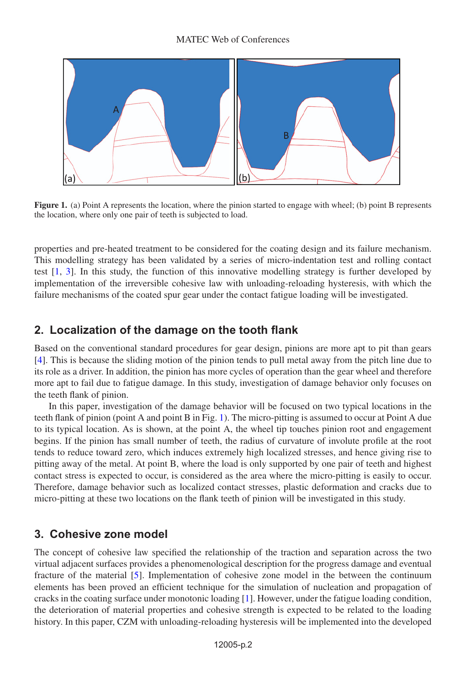### MATEC Web of Conferences

<span id="page-1-0"></span>

**Figure 1.** (a) Point A represents the location, where the pinion started to engage with wheel; (b) point B represents the location, where only one pair of teeth is subjected to load.

properties and pre-heated treatment to be considered for the coating design and its failure mechanism. This modelling strategy has been validated by a series of micro-indentation test and rolling contact test [\[1,](#page-6-0) [3](#page-6-2)]. In this study, the function of this innovative modelling strategy is further developed by implementation of the irreversible cohesive law with unloading-reloading hysteresis, with which the failure mechanisms of the coated spur gear under the contact fatigue loading will be investigated.

# **2. Localization of the damage on the tooth flank**

Based on the conventional standard procedures for gear design, pinions are more apt to pit than gears [\[4\]](#page-6-3). This is because the sliding motion of the pinion tends to pull metal away from the pitch line due to its role as a driver. In addition, the pinion has more cycles of operation than the gear wheel and therefore more apt to fail due to fatigue damage. In this study, investigation of damage behavior only focuses on the teeth flank of pinion.

In this paper, investigation of the damage behavior will be focused on two typical locations in the teeth flank of pinion (point A and point B in Fig. [1\)](#page-1-0). The micro-pitting is assumed to occur at Point A due to its typical location. As is shown, at the point A, the wheel tip touches pinion root and engagement begins. If the pinion has small number of teeth, the radius of curvature of involute profile at the root tends to reduce toward zero, which induces extremely high localized stresses, and hence giving rise to pitting away of the metal. At point B, where the load is only supported by one pair of teeth and highest contact stress is expected to occur, is considered as the area where the micro-pitting is easily to occur. Therefore, damage behavior such as localized contact stresses, plastic deformation and cracks due to micro-pitting at these two locations on the flank teeth of pinion will be investigated in this study.

# **3. Cohesive zone model**

The concept of cohesive law specified the relationship of the traction and separation across the two virtual adjacent surfaces provides a phenomenological description for the progress damage and eventual fracture of the material [\[5\]](#page-6-4). Implementation of cohesive zone model in the between the continuum elements has been proved an efficient technique for the simulation of nucleation and propagation of cracks in the coating surface under monotonic loading [\[1](#page-6-0)]. However, under the fatigue loading condition, the deterioration of material properties and cohesive strength is expected to be related to the loading history. In this paper, CZM with unloading-reloading hysteresis will be implemented into the developed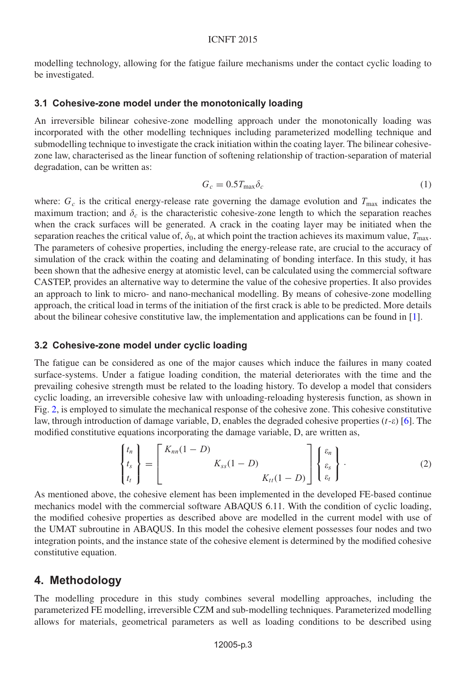modelling technology, allowing for the fatigue failure mechanisms under the contact cyclic loading to be investigated.

#### **3.1 Cohesive-zone model under the monotonically loading**

An irreversible bilinear cohesive-zone modelling approach under the monotonically loading was incorporated with the other modelling techniques including parameterized modelling technique and submodelling technique to investigate the crack initiation within the coating layer. The bilinear cohesivezone law, characterised as the linear function of softening relationship of traction-separation of material degradation, can be written as:

<span id="page-2-0"></span>
$$
G_c = 0.5 T_{\text{max}} \delta_c \tag{1}
$$

where:  $G_c$  is the critical energy-release rate governing the damage evolution and  $T_{\text{max}}$  indicates the maximum traction; and  $\delta_c$  is the characteristic cohesive-zone length to which the separation reaches when the crack surfaces will be generated. A crack in the coating layer may be initiated when the separation reaches the critical value of,  $\delta_0$ , at which point the traction achieves its maximum value,  $T_{\text{max}}$ . The parameters of cohesive properties, including the energy-release rate, are crucial to the accuracy of simulation of the crack within the coating and delaminating of bonding interface. In this study, it has been shown that the adhesive energy at atomistic level, can be calculated using the commercial software CASTEP, provides an alternative way to determine the value of the cohesive properties. It also provides an approach to link to micro- and nano-mechanical modelling. By means of cohesive-zone modelling approach, the critical load in terms of the initiation of the first crack is able to be predicted. More details about the bilinear cohesive constitutive law, the implementation and applications can be found in [\[1\]](#page-6-0).

### **3.2 Cohesive-zone model under cyclic loading**

The fatigue can be considered as one of the major causes which induce the failures in many coated surface-systems. Under a fatigue loading condition, the material deteriorates with the time and the prevailing cohesive strength must be related to the loading history. To develop a model that considers cyclic loading, an irreversible cohesive law with unloading-reloading hysteresis function, as shown in Fig. [2,](#page-3-0) is employed to simulate the mechanical response of the cohesive zone. This cohesive constitutive law, through introduction of damage variable, D, enables the degraded cohesive properties  $(t-\epsilon)$  [\[6\]](#page-6-5). The modified constitutive equations incorporating the damage variable, D, are written as,

$$
\begin{Bmatrix} t_n \\ t_s \\ t_t \end{Bmatrix} = \begin{bmatrix} K_{nn}(1-D) \\ K_{ss}(1-D) \\ K_{tt}(1-D) \end{bmatrix} \begin{Bmatrix} \varepsilon_n \\ \varepsilon_s \\ \varepsilon_t \end{Bmatrix} . \tag{2}
$$

<span id="page-2-1"></span>As mentioned above, the cohesive element has been implemented in the developed FE-based continue mechanics model with the commercial software ABAQUS 6.11. With the condition of cyclic loading, the modified cohesive properties as described above are modelled in the current model with use of the UMAT subroutine in ABAQUS. In this model the cohesive element possesses four nodes and two integration points, and the instance state of the cohesive element is determined by the modified cohesive constitutive equation.

### **4. Methodology**

The modelling procedure in this study combines several modelling approaches, including the parameterized FE modelling, irreversible CZM and sub-modelling techniques. Parameterized modelling allows for materials, geometrical parameters as well as loading conditions to be described using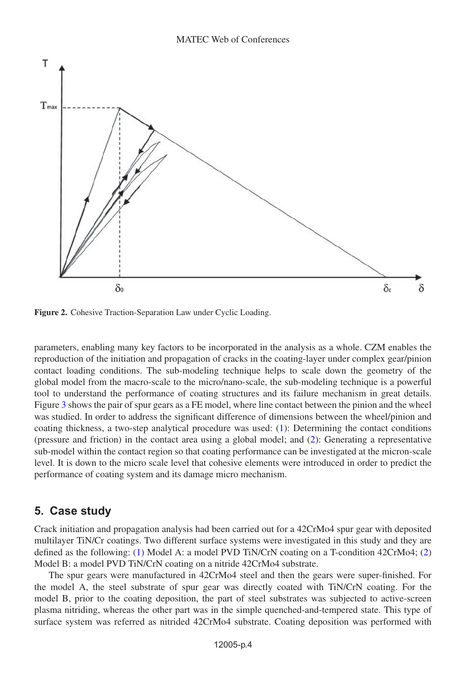<span id="page-3-0"></span>

**Figure 2.** Cohesive Traction-Separation Law under Cyclic Loading.

parameters, enabling many key factors to be incorporated in the analysis as a whole. CZM enables the reproduction of the initiation and propagation of cracks in the coating-layer under complex gear/pinion contact loading conditions. The sub-modeling technique helps to scale down the geometry of the global model from the macro-scale to the micro/nano-scale, the sub-modeling technique is a powerful tool to understand the performance of coating structures and its failure mechanism in great details. Figure [3](#page-4-0) shows the pair of spur gears as a FE model, where line contact between the pinion and the wheel was studied. In order to address the significant difference of dimensions between the wheel/pinion and coating thickness, a two-step analytical procedure was used: [\(1\)](#page-2-0): Determining the contact conditions (pressure and friction) in the contact area using a global model; and [\(2\)](#page-2-1): Generating a representative sub-model within the contact region so that coating performance can be investigated at the micron-scale level. It is down to the micro scale level that cohesive elements were introduced in order to predict the performance of coating system and its damage micro mechanism.

## **5. Case study**

Crack initiation and propagation analysis had been carried out for a 42CrMo4 spur gear with deposited multilayer TiN/Cr coatings. Two different surface systems were investigated in this study and they are defined as the following: [\(1\)](#page-2-0) Model A: a model PVD TiN/CrN coating on a T-condition 42CrMo4; [\(2\)](#page-2-1) Model B: a model PVD TiN/CrN coating on a nitride 42CrMo4 substrate.

The spur gears were manufactured in 42CrMo4 steel and then the gears were super-finished. For the model A, the steel substrate of spur gear was directly coated with TiN/CrN coating. For the model B, prior to the coating deposition, the part of steel substrates was subjected to active-screen plasma nitriding, whereas the other part was in the simple quenched-and-tempered state. This type of surface system was referred as nitrided 42CrMo4 substrate. Coating deposition was performed with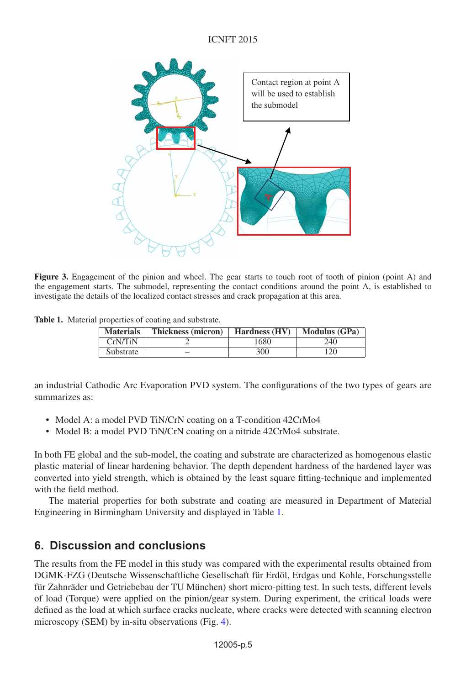<span id="page-4-0"></span>

**Figure 3.** Engagement of the pinion and wheel. The gear starts to touch root of tooth of pinion (point A) and the engagement starts. The submodel, representing the contact conditions around the point A, is established to investigate the details of the localized contact stresses and crack propagation at this area.

<span id="page-4-1"></span>**Table 1.** Material properties of coating and substrate.

| <b>Materials</b> | Thickness (micron) | Hardness (HV) | <b>Modulus</b> (GPa) |
|------------------|--------------------|---------------|----------------------|
| CrN/TiN          |                    | 1680          | 240                  |
| Substrate        |                    | 300           | 120                  |

an industrial Cathodic Arc Evaporation PVD system. The configurations of the two types of gears are summarizes as:

- Model A: a model PVD TiN/CrN coating on a T-condition 42CrMo4
- Model B: a model PVD TiN/CrN coating on a nitride 42CrMo4 substrate.

In both FE global and the sub-model, the coating and substrate are characterized as homogenous elastic plastic material of linear hardening behavior. The depth dependent hardness of the hardened layer was converted into yield strength, which is obtained by the least square fitting-technique and implemented with the field method.

The material properties for both substrate and coating are measured in Department of Material Engineering in Birmingham University and displayed in Table [1.](#page-4-1)

# **6. Discussion and conclusions**

The results from the FE model in this study was compared with the experimental results obtained from DGMK-FZG (Deutsche Wissenschaftliche Gesellschaft für Erdöl, Erdgas und Kohle, Forschungsstelle für Zahnräder und Getriebebau der TU München) short micro-pitting test. In such tests, different levels of load (Torque) were applied on the pinion/gear system. During experiment, the critical loads were defined as the load at which surface cracks nucleate, where cracks were detected with scanning electron microscopy (SEM) by in-situ observations (Fig. [4\)](#page-5-0).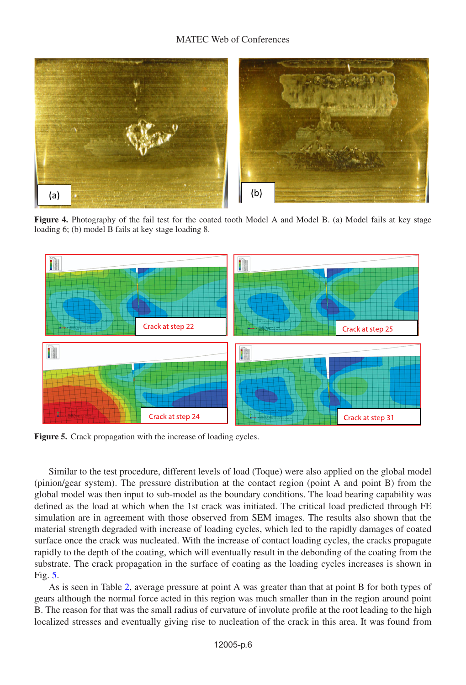### MATEC Web of Conferences

<span id="page-5-0"></span>

**Figure 4.** Photography of the fail test for the coated tooth Model A and Model B. (a) Model fails at key stage loading 6; (b) model B fails at key stage loading 8.

<span id="page-5-1"></span>

**Figure 5.** Crack propagation with the increase of loading cycles.

Similar to the test procedure, different levels of load (Toque) were also applied on the global model (pinion/gear system). The pressure distribution at the contact region (point A and point B) from the global model was then input to sub-model as the boundary conditions. The load bearing capability was defined as the load at which when the 1st crack was initiated. The critical load predicted through FE simulation are in agreement with those observed from SEM images. The results also shown that the material strength degraded with increase of loading cycles, which led to the rapidly damages of coated surface once the crack was nucleated. With the increase of contact loading cycles, the cracks propagate rapidly to the depth of the coating, which will eventually result in the debonding of the coating from the substrate. The crack propagation in the surface of coating as the loading cycles increases is shown in Fig. [5.](#page-5-1)

As is seen in Table [2,](#page-6-6) average pressure at point A was greater than that at point B for both types of gears although the normal force acted in this region was much smaller than in the region around point B. The reason for that was the small radius of curvature of involute profile at the root leading to the high localized stresses and eventually giving rise to nucleation of the crack in this area. It was found from